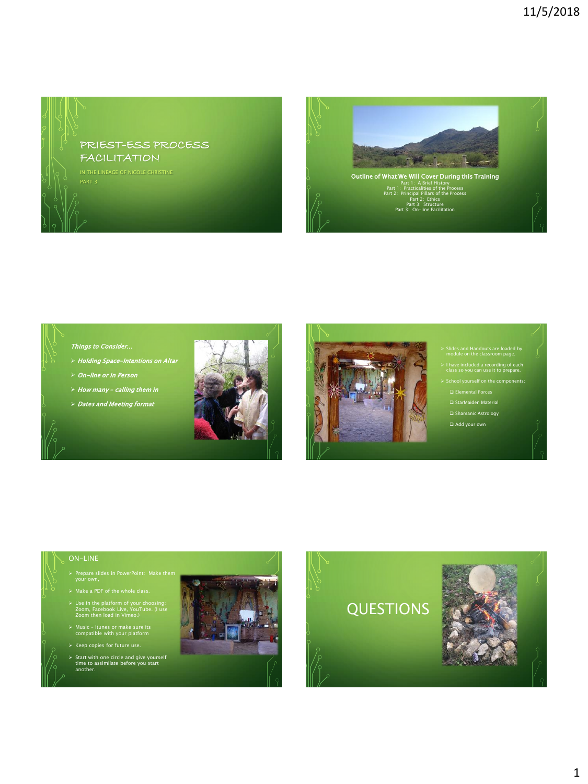

PART 3



## Things to Consider…

- > Holding Space-Intentions on Altar
- On-line or In Person
- $\triangleright$  How many calling them in
- $D$  Dates and Meeting format





- $\triangleright$  Slides and Handouts are loaded by module on the classroom page.
- $\geq 1$  have included a recording of each class so you can use it to prepare.
- $\triangleright$  School yourself on the components:
- Elemental Forces
- □ StarMaiden Material □ Shamanic Astrology
- Add your own
- 

- $\triangleright$  Prepare slides in PowerPoint: Make them your own,
- 
- Use in the platform of your choosing: Zoom, Facebook Live, YouTube. (I use Zoom then load in Vimeo.)
- Music Itunes or make sure its compatible with your platform
- Keep copies for future use.
- $\triangleright$  Start with one circle and give yourself time to assimilate before you start another.